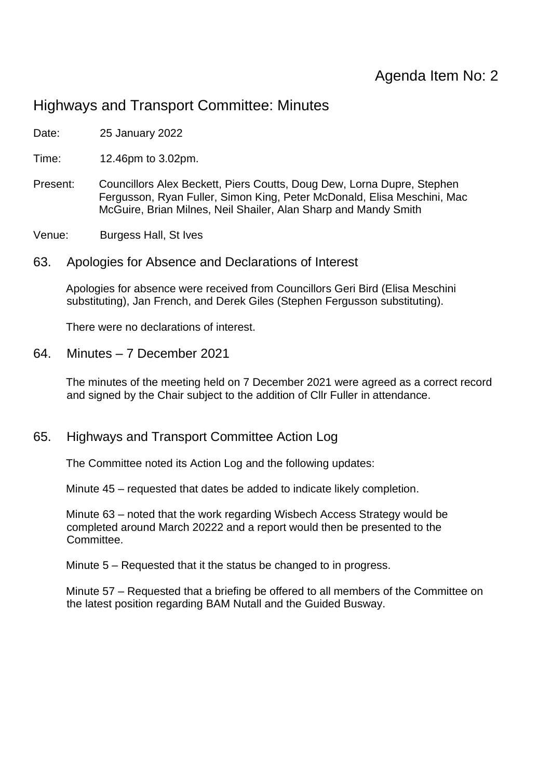# Highways and Transport Committee: Minutes

Date: 25 January 2022

Time: 12.46pm to 3.02pm.

Present: Councillors Alex Beckett, Piers Coutts, Doug Dew, Lorna Dupre, Stephen Fergusson, Ryan Fuller, Simon King, Peter McDonald, Elisa Meschini, Mac McGuire, Brian Milnes, Neil Shailer, Alan Sharp and Mandy Smith

Venue: Burgess Hall, St Ives

63. Apologies for Absence and Declarations of Interest

Apologies for absence were received from Councillors Geri Bird (Elisa Meschini substituting), Jan French, and Derek Giles (Stephen Fergusson substituting).

There were no declarations of interest.

64. Minutes – 7 December 2021

The minutes of the meeting held on 7 December 2021 were agreed as a correct record and signed by the Chair subject to the addition of Cllr Fuller in attendance.

#### 65. Highways and Transport Committee Action Log

The Committee noted its Action Log and the following updates:

Minute 45 – requested that dates be added to indicate likely completion.

Minute 63 – noted that the work regarding Wisbech Access Strategy would be completed around March 20222 and a report would then be presented to the Committee.

Minute 5 – Requested that it the status be changed to in progress.

Minute 57 – Requested that a briefing be offered to all members of the Committee on the latest position regarding BAM Nutall and the Guided Busway.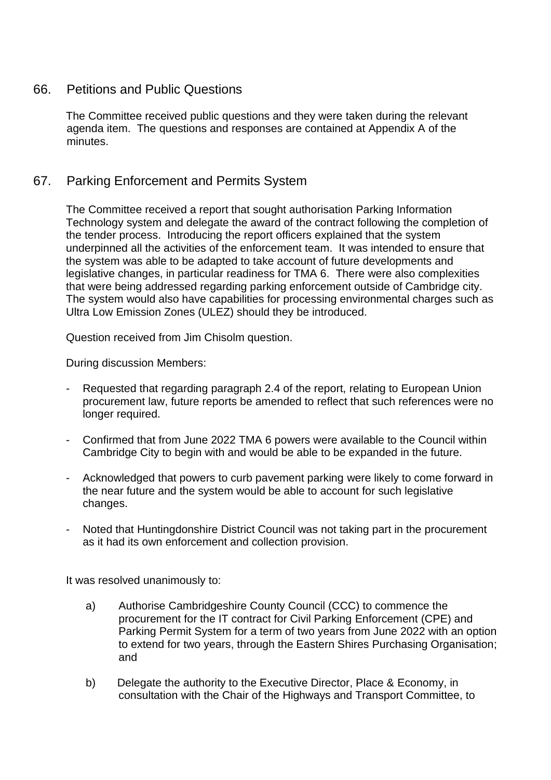#### 66. Petitions and Public Questions

The Committee received public questions and they were taken during the relevant agenda item. The questions and responses are contained at Appendix A of the minutes.

### 67. Parking Enforcement and Permits System

The Committee received a report that sought authorisation Parking Information Technology system and delegate the award of the contract following the completion of the tender process. Introducing the report officers explained that the system underpinned all the activities of the enforcement team. It was intended to ensure that the system was able to be adapted to take account of future developments and legislative changes, in particular readiness for TMA 6. There were also complexities that were being addressed regarding parking enforcement outside of Cambridge city. The system would also have capabilities for processing environmental charges such as Ultra Low Emission Zones (ULEZ) should they be introduced.

Question received from Jim Chisolm question.

During discussion Members:

- Requested that regarding paragraph 2.4 of the report, relating to European Union procurement law, future reports be amended to reflect that such references were no longer required.
- Confirmed that from June 2022 TMA 6 powers were available to the Council within Cambridge City to begin with and would be able to be expanded in the future.
- Acknowledged that powers to curb pavement parking were likely to come forward in the near future and the system would be able to account for such legislative changes.
- Noted that Huntingdonshire District Council was not taking part in the procurement as it had its own enforcement and collection provision.

It was resolved unanimously to:

- a) Authorise Cambridgeshire County Council (CCC) to commence the procurement for the IT contract for Civil Parking Enforcement (CPE) and Parking Permit System for a term of two years from June 2022 with an option to extend for two years, through the Eastern Shires Purchasing Organisation; and
- b) Delegate the authority to the Executive Director, Place & Economy, in consultation with the Chair of the Highways and Transport Committee, to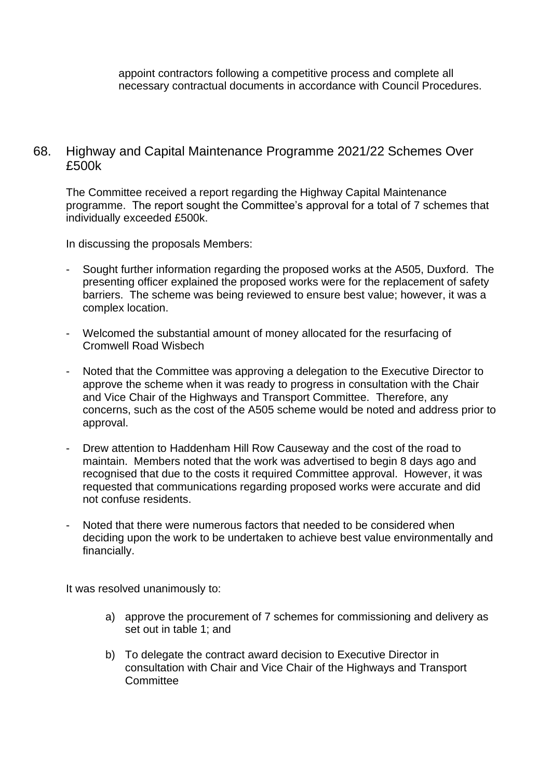appoint contractors following a competitive process and complete all necessary contractual documents in accordance with Council Procedures.

#### 68. Highway and Capital Maintenance Programme 2021/22 Schemes Over £500k

The Committee received a report regarding the Highway Capital Maintenance programme. The report sought the Committee's approval for a total of 7 schemes that individually exceeded £500k.

In discussing the proposals Members:

- Sought further information regarding the proposed works at the A505, Duxford. The presenting officer explained the proposed works were for the replacement of safety barriers. The scheme was being reviewed to ensure best value; however, it was a complex location.
- Welcomed the substantial amount of money allocated for the resurfacing of Cromwell Road Wisbech
- Noted that the Committee was approving a delegation to the Executive Director to approve the scheme when it was ready to progress in consultation with the Chair and Vice Chair of the Highways and Transport Committee. Therefore, any concerns, such as the cost of the A505 scheme would be noted and address prior to approval.
- Drew attention to Haddenham Hill Row Causeway and the cost of the road to maintain. Members noted that the work was advertised to begin 8 days ago and recognised that due to the costs it required Committee approval. However, it was requested that communications regarding proposed works were accurate and did not confuse residents.
- Noted that there were numerous factors that needed to be considered when deciding upon the work to be undertaken to achieve best value environmentally and financially.

It was resolved unanimously to:

- a) approve the procurement of 7 schemes for commissioning and delivery as set out in table 1; and
- b) To delegate the contract award decision to Executive Director in consultation with Chair and Vice Chair of the Highways and Transport **Committee**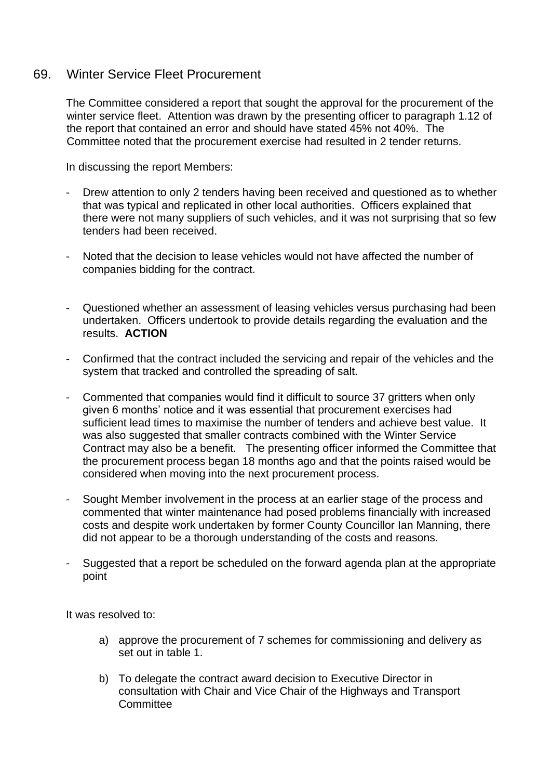#### 69. Winter Service Fleet Procurement

The Committee considered a report that sought the approval for the procurement of the winter service fleet. Attention was drawn by the presenting officer to paragraph 1.12 of the report that contained an error and should have stated 45% not 40%. The Committee noted that the procurement exercise had resulted in 2 tender returns.

In discussing the report Members:

- Drew attention to only 2 tenders having been received and questioned as to whether that was typical and replicated in other local authorities. Officers explained that there were not many suppliers of such vehicles, and it was not surprising that so few tenders had been received.
- Noted that the decision to lease vehicles would not have affected the number of companies bidding for the contract.
- Questioned whether an assessment of leasing vehicles versus purchasing had been undertaken. Officers undertook to provide details regarding the evaluation and the results. **ACTION**
- Confirmed that the contract included the servicing and repair of the vehicles and the system that tracked and controlled the spreading of salt.
- Commented that companies would find it difficult to source 37 gritters when only given 6 months' notice and it was essential that procurement exercises had sufficient lead times to maximise the number of tenders and achieve best value. It was also suggested that smaller contracts combined with the Winter Service Contract may also be a benefit. The presenting officer informed the Committee that the procurement process began 18 months ago and that the points raised would be considered when moving into the next procurement process.
- Sought Member involvement in the process at an earlier stage of the process and commented that winter maintenance had posed problems financially with increased costs and despite work undertaken by former County Councillor Ian Manning, there did not appear to be a thorough understanding of the costs and reasons.
- Suggested that a report be scheduled on the forward agenda plan at the appropriate point

It was resolved to:

- a) approve the procurement of 7 schemes for commissioning and delivery as set out in table 1.
- b) To delegate the contract award decision to Executive Director in consultation with Chair and Vice Chair of the Highways and Transport **Committee**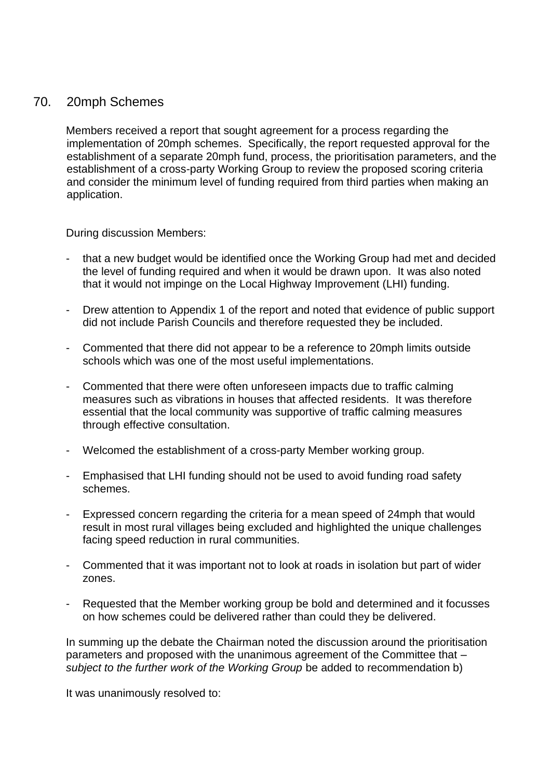#### 70. 20mph Schemes

Members received a report that sought agreement for a process regarding the implementation of 20mph schemes. Specifically, the report requested approval for the establishment of a separate 20mph fund, process, the prioritisation parameters, and the establishment of a cross-party Working Group to review the proposed scoring criteria and consider the minimum level of funding required from third parties when making an application.

During discussion Members:

- that a new budget would be identified once the Working Group had met and decided the level of funding required and when it would be drawn upon. It was also noted that it would not impinge on the Local Highway Improvement (LHI) funding.
- Drew attention to Appendix 1 of the report and noted that evidence of public support did not include Parish Councils and therefore requested they be included.
- Commented that there did not appear to be a reference to 20mph limits outside schools which was one of the most useful implementations.
- Commented that there were often unforeseen impacts due to traffic calming measures such as vibrations in houses that affected residents. It was therefore essential that the local community was supportive of traffic calming measures through effective consultation.
- Welcomed the establishment of a cross-party Member working group.
- Emphasised that LHI funding should not be used to avoid funding road safety schemes.
- Expressed concern regarding the criteria for a mean speed of 24mph that would result in most rural villages being excluded and highlighted the unique challenges facing speed reduction in rural communities.
- Commented that it was important not to look at roads in isolation but part of wider zones.
- Requested that the Member working group be bold and determined and it focusses on how schemes could be delivered rather than could they be delivered.

In summing up the debate the Chairman noted the discussion around the prioritisation parameters and proposed with the unanimous agreement of the Committee that – *subject to the further work of the Working Group* be added to recommendation b)

It was unanimously resolved to: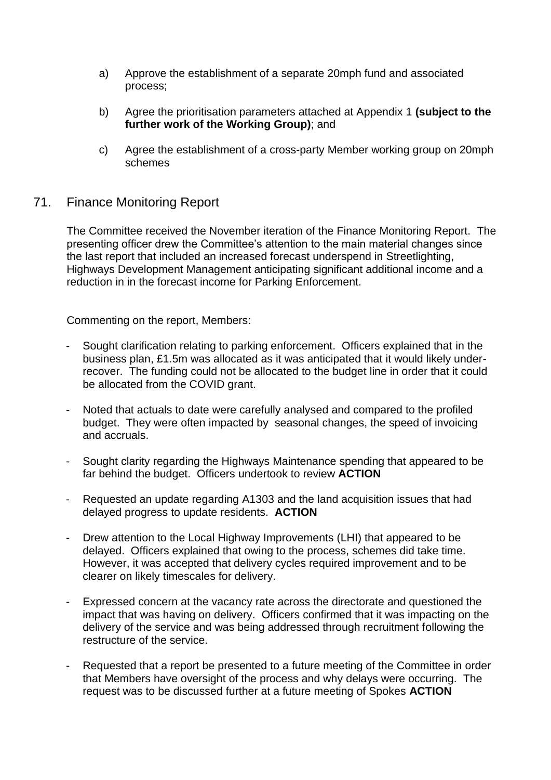- a) Approve the establishment of a separate 20mph fund and associated process;
- b) Agree the prioritisation parameters attached at Appendix 1 **(subject to the further work of the Working Group)**; and
- c) Agree the establishment of a cross-party Member working group on 20mph schemes

### 71. Finance Monitoring Report

The Committee received the November iteration of the Finance Monitoring Report. The presenting officer drew the Committee's attention to the main material changes since the last report that included an increased forecast underspend in Streetlighting, Highways Development Management anticipating significant additional income and a reduction in in the forecast income for Parking Enforcement.

Commenting on the report, Members:

- Sought clarification relating to parking enforcement. Officers explained that in the business plan, £1.5m was allocated as it was anticipated that it would likely underrecover. The funding could not be allocated to the budget line in order that it could be allocated from the COVID grant.
- Noted that actuals to date were carefully analysed and compared to the profiled budget. They were often impacted by seasonal changes, the speed of invoicing and accruals.
- Sought clarity regarding the Highways Maintenance spending that appeared to be far behind the budget. Officers undertook to review **ACTION**
- Requested an update regarding A1303 and the land acquisition issues that had delayed progress to update residents. **ACTION**
- Drew attention to the Local Highway Improvements (LHI) that appeared to be delayed. Officers explained that owing to the process, schemes did take time. However, it was accepted that delivery cycles required improvement and to be clearer on likely timescales for delivery.
- Expressed concern at the vacancy rate across the directorate and questioned the impact that was having on delivery. Officers confirmed that it was impacting on the delivery of the service and was being addressed through recruitment following the restructure of the service.
- Requested that a report be presented to a future meeting of the Committee in order that Members have oversight of the process and why delays were occurring. The request was to be discussed further at a future meeting of Spokes **ACTION**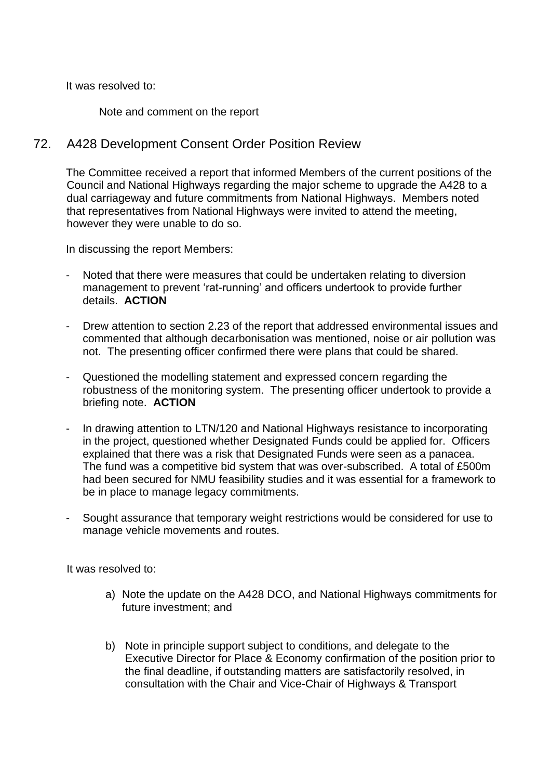It was resolved to:

Note and comment on the report

## 72. A428 Development Consent Order Position Review

The Committee received a report that informed Members of the current positions of the Council and National Highways regarding the major scheme to upgrade the A428 to a dual carriageway and future commitments from National Highways. Members noted that representatives from National Highways were invited to attend the meeting, however they were unable to do so.

In discussing the report Members:

- Noted that there were measures that could be undertaken relating to diversion management to prevent 'rat-running' and officers undertook to provide further details. **ACTION**
- Drew attention to section 2.23 of the report that addressed environmental issues and commented that although decarbonisation was mentioned, noise or air pollution was not. The presenting officer confirmed there were plans that could be shared.
- Questioned the modelling statement and expressed concern regarding the robustness of the monitoring system. The presenting officer undertook to provide a briefing note. **ACTION**
- In drawing attention to LTN/120 and National Highways resistance to incorporating in the project, questioned whether Designated Funds could be applied for. Officers explained that there was a risk that Designated Funds were seen as a panacea. The fund was a competitive bid system that was over-subscribed. A total of £500m had been secured for NMU feasibility studies and it was essential for a framework to be in place to manage legacy commitments.
- Sought assurance that temporary weight restrictions would be considered for use to manage vehicle movements and routes.

It was resolved to:

- a) Note the update on the A428 DCO, and National Highways commitments for future investment; and
- b) Note in principle support subject to conditions, and delegate to the Executive Director for Place & Economy confirmation of the position prior to the final deadline, if outstanding matters are satisfactorily resolved, in consultation with the Chair and Vice-Chair of Highways & Transport